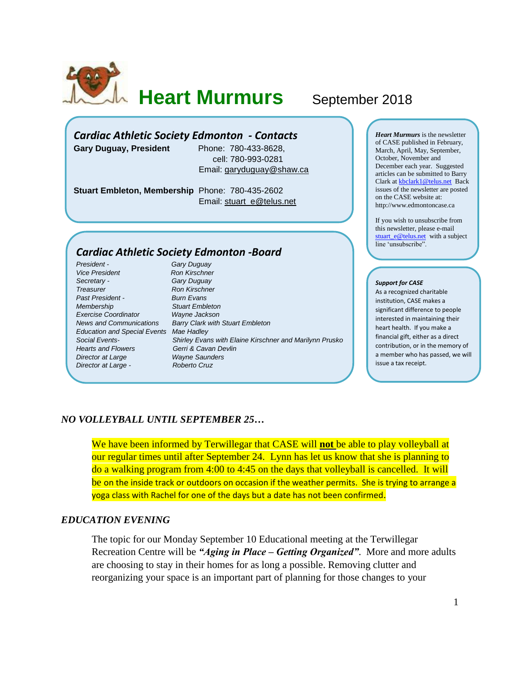

**Heart Murmurs** September 2018

# *Cardiac Athletic Society Edmonton - Contacts*

**Gary Duguay, President** Phone: 780-433-8628,

 cell: 780-993-0281 Email: [garyduguay@shaw.ca](mailto:garyduguay@shaw.ca)

**Stuart Embleton, Membership** Phone: 780-435-2602 Email: [stuart\\_e@telus.net](mailto:stuart_e@telus.net)

## *Cardiac Athletic Society Edmonton -Board*

*President - Gary Duguay* **Vice President Ron Kirschner** *Secretary - Gary Duguay* **Treasurer Ron Kirschner** *Past President - Burn Evans Membership Stuart Embleton Exercise Coordinator Education and Special Events Mae Hadley Hearts and Flowers Gerri & Cavan Devlin Director at Large Wayne Saunders Director at Large - Roberto Cruz*

*News and Communications Barry Clark with Stuart Embleton Social Events- Shirley Evans with Elaine Kirschner and Marilynn Prusko* *Heart Murmurs* is the newsletter of CASE published in February, March, April, May, September, October, November and December each year. Suggested articles can be submitted to Barry Clark a[t kbclark1@telus.net](mailto:kbclark1@telus.net) Back issues of the newsletter are posted on the CASE website at: [http://www.edmontoncase.ca](http://www.edmontoncase.ca/)

If you wish to unsubscribe from this newsletter, please e-mail [stuart\\_e@telus.net](mailto:stuart_e@telus.net) with a subject line 'unsubscribe".

#### *Support for CASE*

As a recognized charitable institution, CASE makes a significant difference to people interested in maintaining their heart health. If you make a financial gift, either as a direct contribution, or in the memory of a member who has passed, we will issue a tax receipt.

#### *NO VOLLEYBALL UNTIL SEPTEMBER 25…*

We have been informed by Terwillegar that CASE will **not** be able to play volleyball at our regular times until after September 24. Lynn has let us know that she is planning to do a walking program from 4:00 to 4:45 on the days that volleyball is cancelled. It will be on the inside track or outdoors on occasion if the weather permits. She is trying to arrange a yoga class with Rachel for one of the days but a date has not been confirmed.

#### *EDUCATION EVENING*

The topic for our Monday September 10 Educational meeting at the Terwillegar Recreation Centre will be *"Aging in Place – Getting Organized"*. More and more adults are choosing to stay in their homes for as long a possible. Removing clutter and reorganizing your space is an important part of planning for those changes to your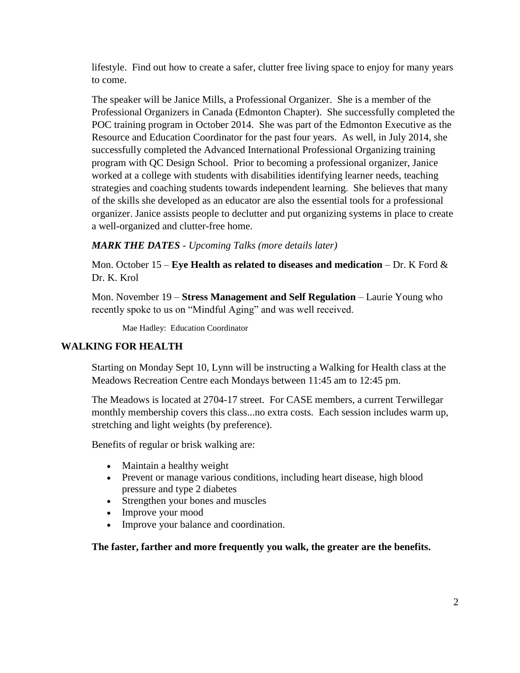lifestyle. Find out how to create a safer, clutter free living space to enjoy for many years to come.

The speaker will be Janice Mills, a Professional Organizer. She is a member of the Professional Organizers in Canada (Edmonton Chapter). She successfully completed the POC training program in October 2014. She was part of the Edmonton Executive as the Resource and Education Coordinator for the past four years. As well, in July 2014, she successfully completed the Advanced International Professional Organizing training program with QC Design School. Prior to becoming a professional organizer, Janice worked at a college with students with disabilities identifying learner needs, teaching strategies and coaching students towards independent learning. She believes that many of the skills she developed as an educator are also the essential tools for a professional organizer. Janice assists people to declutter and put organizing systems in place to create a well-organized and clutter-free home.

# *MARK THE DATES - Upcoming Talks (more details later)*

Mon. October 15 – **Eye Health as related to diseases and medication** – Dr. K Ford & Dr. K. Krol

Mon. November 19 – **Stress Management and Self Regulation** – Laurie Young who recently spoke to us on "Mindful Aging" and was well received.

Mae Hadley: Education Coordinator

# **WALKING FOR HEALTH**

Starting on Monday Sept 10, Lynn will be instructing a Walking for Health class at the Meadows Recreation Centre each Mondays between 11:45 am to 12:45 pm.

The Meadows is located at 2704-17 street. For CASE members, a current Terwillegar monthly membership covers this class...no extra costs. Each session includes warm up, stretching and light weights (by preference).

Benefits of regular or brisk walking are:

- Maintain a healthy weight
- Prevent or manage various conditions, including heart disease, high blood pressure and type 2 diabetes
- Strengthen your bones and muscles
- Improve your mood
- Improve your balance and coordination.

**The faster, farther and more frequently you walk, the greater are the benefits.**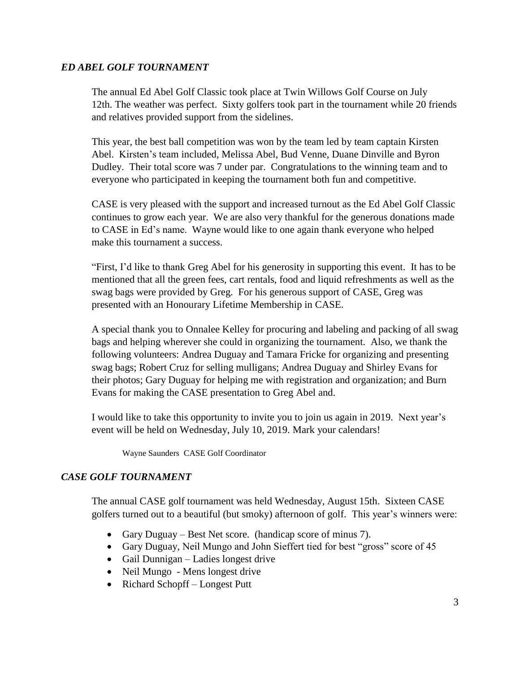## *ED ABEL GOLF TOURNAMENT*

The annual Ed Abel Golf Classic took place at Twin Willows Golf Course on July 12th. The weather was perfect. Sixty golfers took part in the tournament while 20 friends and relatives provided support from the sidelines.

This year, the best ball competition was won by the team led by team captain Kirsten Abel. Kirsten's team included, Melissa Abel, Bud Venne, Duane Dinville and Byron Dudley. Their total score was 7 under par. Congratulations to the winning team and to everyone who participated in keeping the tournament both fun and competitive.

CASE is very pleased with the support and increased turnout as the Ed Abel Golf Classic continues to grow each year. We are also very thankful for the generous donations made to CASE in Ed's name. Wayne would like to one again thank everyone who helped make this tournament a success.

"First, I'd like to thank Greg Abel for his generosity in supporting this event. It has to be mentioned that all the green fees, cart rentals, food and liquid refreshments as well as the swag bags were provided by Greg. For his generous support of CASE, Greg was presented with an Honourary Lifetime Membership in CASE.

A special thank you to Onnalee Kelley for procuring and labeling and packing of all swag bags and helping wherever she could in organizing the tournament. Also, we thank the following volunteers: Andrea Duguay and Tamara Fricke for organizing and presenting swag bags; Robert Cruz for selling mulligans; Andrea Duguay and Shirley Evans for their photos; Gary Duguay for helping me with registration and organization; and Burn Evans for making the CASE presentation to Greg Abel and.

I would like to take this opportunity to invite you to join us again in 2019. Next year's event will be held on Wednesday, July 10, 2019. Mark your calendars!

Wayne Saunders CASE Golf Coordinator

# *CASE GOLF TOURNAMENT*

The annual CASE golf tournament was held Wednesday, August 15th. Sixteen CASE golfers turned out to a beautiful (but smoky) afternoon of golf. This year's winners were:

- Gary Duguay Best Net score. (handicap score of minus 7).
- Gary Duguay, Neil Mungo and John Sieffert tied for best "gross" score of 45
- Gail Dunnigan Ladies longest drive
- Neil Mungo Mens longest drive
- Richard Schopff Longest Putt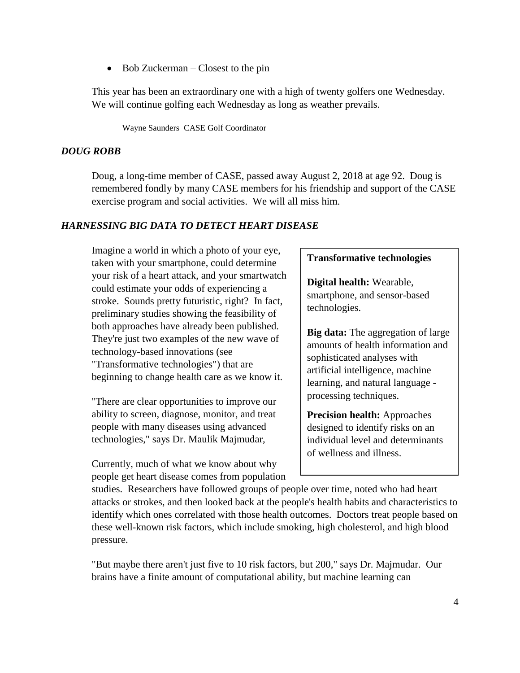• Bob Zuckerman – Closest to the pin

This year has been an extraordinary one with a high of twenty golfers one Wednesday. We will continue golfing each Wednesday as long as weather prevails.

Wayne Saunders CASE Golf Coordinator

### *DOUG ROBB*

Doug, a long-time member of CASE, passed away August 2, 2018 at age 92. Doug is remembered fondly by many CASE members for his friendship and support of the CASE exercise program and social activities. We will all miss him.

#### *HARNESSING BIG DATA TO DETECT HEART DISEASE*

Imagine a world in which a photo of your eye, taken with your smartphone, could determine your risk of a heart attack, and your smartwatch could estimate your odds of experiencing a stroke. Sounds pretty futuristic, right? In fact, preliminary studies showing the feasibility of both approaches have already been published. They're just two examples of the new wave of technology-based innovations (see "Transformative technologies") that are beginning to change health care as we know it.

"There are clear opportunities to improve our ability to screen, diagnose, monitor, and treat people with many diseases using advanced technologies," says Dr. Maulik Majmudar,

Currently, much of what we know about why people get heart disease comes from population

#### **Transformative technologies**

**Digital health:** Wearable, smartphone, and sensor-based technologies.

**Big data:** The aggregation of large amounts of health information and sophisticated analyses with artificial intelligence, machine learning, and natural language processing techniques.

**Precision health:** Approaches designed to identify risks on an individual level and determinants of wellness and illness.

studies. Researchers have followed groups of people over time, noted who had heart attacks or strokes, and then looked back at the people's health habits and characteristics to identify which ones correlated with those health outcomes. Doctors treat people based on these well-known risk factors, which include smoking, high cholesterol, and high blood pressure.

"But maybe there aren't just five to 10 risk factors, but 200," says Dr. Majmudar. Our brains have a finite amount of computational ability, but machine learning can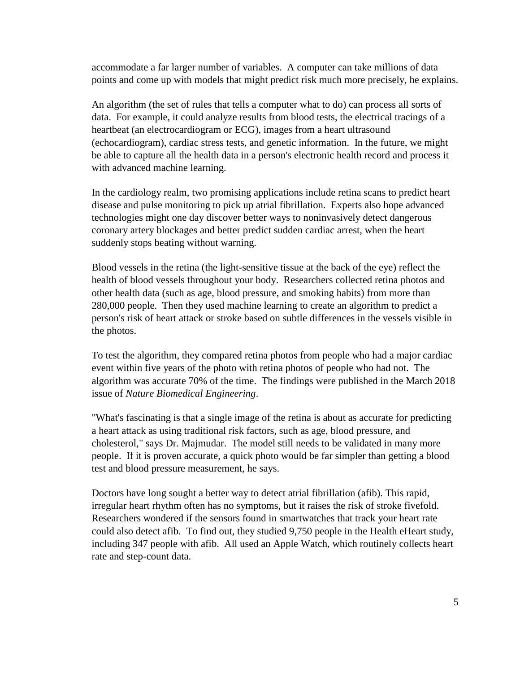accommodate a far larger number of variables. A computer can take millions of data points and come up with models that might predict risk much more precisely, he explains.

An algorithm (the set of rules that tells a computer what to do) can process all sorts of data. For example, it could analyze results from blood tests, the electrical tracings of a heartbeat (an electrocardiogram or ECG), images from a heart ultrasound (echocardiogram), cardiac stress tests, and genetic information. In the future, we might be able to capture all the health data in a person's electronic health record and process it with advanced machine learning.

In the cardiology realm, two promising applications include retina scans to predict heart disease and pulse monitoring to pick up atrial fibrillation. Experts also hope advanced technologies might one day discover better ways to noninvasively detect dangerous coronary artery blockages and better predict sudden cardiac arrest, when the heart suddenly stops beating without warning.

Blood vessels in the retina (the light-sensitive tissue at the back of the eye) reflect the health of blood vessels throughout your body. Researchers collected retina photos and other health data (such as age, blood pressure, and smoking habits) from more than 280,000 people. Then they used machine learning to create an algorithm to predict a person's risk of heart attack or stroke based on subtle differences in the vessels visible in the photos.

To test the algorithm, they compared retina photos from people who had a major cardiac event within five years of the photo with retina photos of people who had not. The algorithm was accurate 70% of the time. The findings were published in the March 2018 issue of *Nature Biomedical Engineering*.

"What's fascinating is that a single image of the retina is about as accurate for predicting a heart attack as using traditional risk factors, such as age, blood pressure, and cholesterol," says Dr. Majmudar. The model still needs to be validated in many more people. If it is proven accurate, a quick photo would be far simpler than getting a blood test and blood pressure measurement, he says.

Doctors have long sought a better way to detect atrial fibrillation (afib). This rapid, irregular heart rhythm often has no symptoms, but it raises the risk of stroke fivefold. Researchers wondered if the sensors found in smartwatches that track your heart rate could also detect afib. To find out, they studied 9,750 people in the Health eHeart study, including 347 people with afib. All used an Apple Watch, which routinely collects heart rate and step-count data.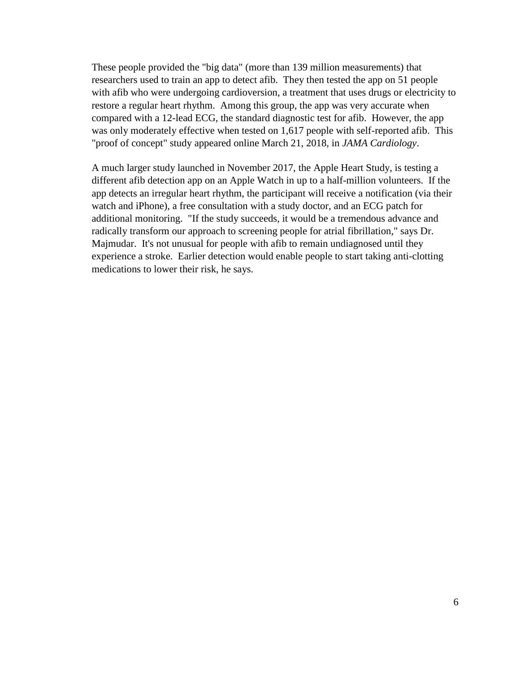These people provided the "big data" (more than 139 million measurements) that researchers used to train an app to detect afib. They then tested the app on 51 people with afib who were undergoing cardioversion, a treatment that uses drugs or electricity to restore a regular heart rhythm. Among this group, the app was very accurate when compared with a 12-lead ECG, the standard diagnostic test for afib. However, the app was only moderately effective when tested on 1,617 people with self-reported afib. This "proof of concept" study appeared online March 21, 2018, in *JAMA Cardiology*.

A much larger study launched in November 2017, the Apple Heart Study, is testing a different afib detection app on an Apple Watch in up to a half-million volunteers. If the app detects an irregular heart rhythm, the participant will receive a notification (via their watch and iPhone), a free consultation with a study doctor, and an ECG patch for additional monitoring. "If the study succeeds, it would be a tremendous advance and radically transform our approach to screening people for atrial fibrillation," says Dr. Majmudar. It's not unusual for people with afib to remain undiagnosed until they experience a stroke. Earlier detection would enable people to start taking anti-clotting medications to lower their risk, he says.